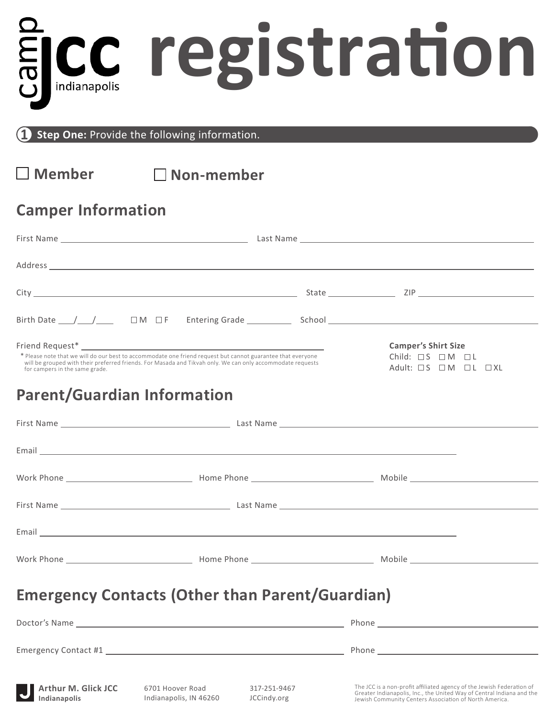# **registration**

**Step One:** Provide the following information.

**Member Non-member**

# **Camper Information**

| Birth Date $\_\_\_\_\_\_\_\_\$ $\_\_\_\_\_$ $\_\_\_$ $\_\_$ $\_\_$ F $\_\_$ Entering Grade $\_\_\_\_\_\_$ School $\_\_\_\_\_\_\_$                                                                                                                                                                 |                                                                                                                |
|---------------------------------------------------------------------------------------------------------------------------------------------------------------------------------------------------------------------------------------------------------------------------------------------------|----------------------------------------------------------------------------------------------------------------|
| * Please note that we will do our best to accommodate one friend request but cannot guarantee that everyone<br>will be grouped with their preferred friends. For Masada and Tikvah only. We can only accommodate requests<br>for campers in the same grade.<br><b>Parent/Guardian Information</b> | <b>Camper's Shirt Size</b><br>Child: $\Box$ S $\Box$ M $\Box$ L<br>Adult: $\Box S$ $\Box M$ $\Box L$ $\Box XL$ |
|                                                                                                                                                                                                                                                                                                   |                                                                                                                |
|                                                                                                                                                                                                                                                                                                   |                                                                                                                |
|                                                                                                                                                                                                                                                                                                   |                                                                                                                |
|                                                                                                                                                                                                                                                                                                   |                                                                                                                |
|                                                                                                                                                                                                                                                                                                   |                                                                                                                |

# **Emergency Contacts (Other than Parent/Guardian)**

Work Phone **Mobile Home Phone** Mobile **Mobile Mobile** 

|                                     |                                            | Phone and the contract of the contract of the contract of the contract of the contract of the contract of the |                                                                                                                                                                                                          |
|-------------------------------------|--------------------------------------------|---------------------------------------------------------------------------------------------------------------|----------------------------------------------------------------------------------------------------------------------------------------------------------------------------------------------------------|
| Arthur M. Glick JCC<br>Indianapolis | 6701 Hoover Road<br>Indianapolis, IN 46260 | 317-251-9467<br>JCCindy.org                                                                                   | The JCC is a non-profit affiliated agency of the Jewish Federation of<br>Greater Indianapolis, Inc., the United Way of Central Indiana and the<br>Jewish Community Centers Association of North America. |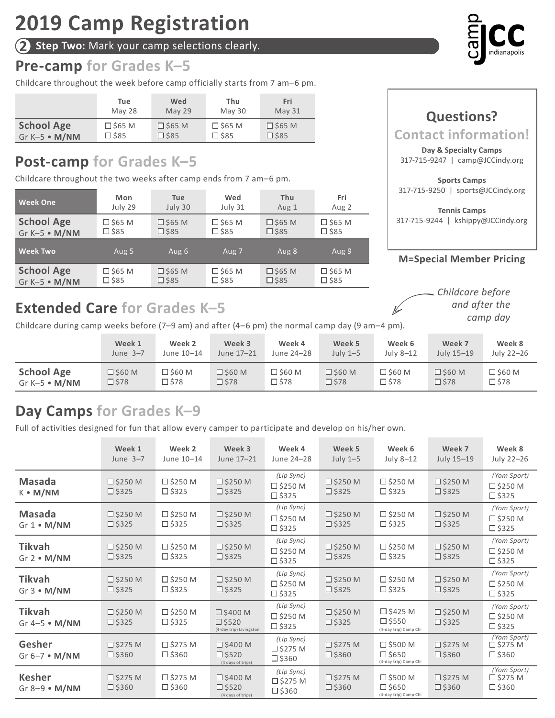**2 Step Two:** Mark your camp selections clearly.

# **Pre-camp for Grades K–5**

Childcare throughout the week before camp officially starts from 7 am–6 pm.

|                   | Tue            | Wed            | Thu            | Fri           |
|-------------------|----------------|----------------|----------------|---------------|
|                   | May 28         | May 29         | May 30         | <b>May 31</b> |
| <b>School Age</b> | $\Box$ \$65 M  | $\Box$ \$65 M  | $\Box$ \$65 M  | $\Box$ \$65 M |
| Gr $K-5$ • $M/NM$ | $\square$ \$85 | $\square$ \$85 | $\square$ \$85 | $\Box$ \$85   |

# **Post-camp for Grades K–5**

Childcare throughout the two weeks after camp ends from 7 am–6 pm.

| <b>Week One</b>   | Mon              | <b>Tue</b>       | Wed            | Thu              | Fri            |
|-------------------|------------------|------------------|----------------|------------------|----------------|
|                   | July 29          | July 30          | July 31        | Aug 1            | Aug 2          |
| <b>School Age</b> | $\square$ \$65 M | $\square$ \$65 M | $\Box$ \$65 M  | $\Box$ \$65 M    | □ \$65 M       |
| Gr K-5 · M/NM     | $\square$ \$85   | $\square$ \$85   | $\square$ \$85 | $\Box$ \$85      | $\square$ \$85 |
| <b>Week Two</b>   | Aug 5            | Aug 6            | Aug 7          | Aug 8            | Aug 9          |
| <b>School Age</b> | $\square$ \$65 M | $\square$ \$65 M | $\Box$ \$65 M  | $\square$ \$65 M | $\Box$ \$65 M  |
| Gr K-5 · M/NM     | $\square$ \$85   | $\square$ \$85   | $\square$ \$85 | $\Box$ \$85      | $\square$ \$85 |

# **Extended Care for Grades K–5**

Childcare during camp weeks before  $(7-9 \text{ am})$  and after  $(4-6 \text{ pm})$  the normal camp day  $(9 \text{ am}-4 \text{ pm})$ .

|                       | Week 1           | Week 2           | Week 3           | Week 4           | Week 5           | Week 6           | Week 7         | Week 8           |
|-----------------------|------------------|------------------|------------------|------------------|------------------|------------------|----------------|------------------|
|                       | June $3-7$       | June 10-14       | June 17-21       | June 24-28       | July $1-5$       | July 8-12        | July 15-19     | July 22-26       |
| <b>School Age</b>     | $\square$ \$60 M | $\square$ \$60 M | $\square$ \$60 M | $\square$ \$60 M | $\square$ \$60 M | $\square$ \$60 M | $\Box$ \$60 M  | $\square$ \$60 M |
| Gr K-5 $\bullet$ M/NM | $\square$ \$78   | □ \$78           | $\square$ \$78   | $\square$ \$78   | $\square$ \$78   | 口 \$78           | $\square$ \$78 | $\square$ \$78   |

# **Day Camps for Grades K–9**

Full of activities designed for fun that allow every camper to participate and develop on his/her own.

|                                      | Week 1<br>June $3-7$                 | Week 2<br>June 10-14                 | Week 3<br>June 17-21                                            | Week 4<br>June 24-28                               | Week 5<br>July $1-5$                 | Week 6<br>July 8-12                                           | Week 7<br>July 15-19                 | Week 8<br>July 22-26                                |
|--------------------------------------|--------------------------------------|--------------------------------------|-----------------------------------------------------------------|----------------------------------------------------|--------------------------------------|---------------------------------------------------------------|--------------------------------------|-----------------------------------------------------|
| <b>Masada</b><br>$K \cdot M/NM$      | $\square$ \$250 M<br>$\square$ \$325 | $\square$ \$250 M<br>$\square$ \$325 | $\square$ \$250 M<br>$\square$ \$325                            | (Lip Sync)<br>$\square$ \$250 M<br>$\square$ \$325 | $\square$ \$250 M<br>$\square$ \$325 | $\square$ \$250 M<br>$\square$ \$325                          | $\square$ \$250 M<br>$\square$ \$325 | (Yom Sport)<br>$\square$ \$250 M<br>$\square$ \$325 |
| <b>Masada</b><br>$Gr 1 \cdot M/NM$   | $\square$ \$250 M<br>$\Box$ \$325    | $\square$ \$250 M<br>$\square$ \$325 | $\square$ \$250 M<br>$\Box$ \$325                               | (Lip Sync)<br>$\square$ \$250 M<br>$\square$ \$325 | $\square$ \$250 M<br>$\Box$ \$325    | $\square$ \$250 M<br>$\square$ \$325                          | $\square$ \$250 M<br>$\Box$ \$325    | (Yom Sport)<br>$\square$ \$250 M<br>$\square$ \$325 |
| <b>Tikvah</b><br>$Gr 2 \cdot M/NM$   | $\square$ \$250 M<br>$\Box$ \$325    | $\square$ \$250 M<br>$\square$ \$325 | $\square$ \$250 M<br>$\square$ \$325                            | (Lip Sync)<br>$\square$ \$250 M<br>$\square$ \$325 | $\square$ \$250 M<br>$\square$ \$325 | $\square$ \$250 M<br>$\square$ \$325                          | $\square$ \$250 M<br>$\Box$ \$325    | (Yom Sport)<br>$\square$ \$250 M<br>$\square$ \$325 |
| <b>Tikvah</b><br>$Gr 3 \cdot M/NM$   | □ \$250 M<br>$\square$ \$325         | $\square$ \$250 M<br>$\square$ \$325 | $\square$ \$250 M<br>$\square$ \$325                            | (Lip Sync)<br>$\square$ \$250 M<br>$\square$ \$325 | $\square$ \$250 M<br>$\square$ \$325 | $\square$ \$250 M<br>$\square$ \$325                          | $\square$ \$250 M<br>$\square$ \$325 | (Yom Sport)<br>$\square$ \$250 M<br>$\square$ \$325 |
| <b>Tikvah</b><br>Gr $4-5 \cdot M/NM$ | □ \$250 M<br>$\Box$ \$325            | $\square$ \$250 M<br>$\square$ \$325 | $\square$ \$400 M<br>$\square$ \$520<br>(4-day trip) Livingston | (Lip Sync)<br>$\square$ \$250 M<br>$\square$ \$325 | $\square$ \$250 M<br>$\square$ \$325 | $\square$ \$425 M<br>$\Box$ \$550<br>(4-day trip) Camp Chi    | $\square$ \$250 M<br>$\Box$ \$325    | (Yom Sport)<br>$\square$ \$250 M<br>$\square$ \$325 |
| Gesher<br>Gr $6-7 \cdot M/NM$        | $\square$ \$275 M<br>$\square$ \$360 | $\square$ \$275 M<br>$\square$ \$360 | $\square$ \$400 M<br>$\Box$ \$520<br>(4 days of trips)          | (Lip Sync)<br>$\Box$ \$275 M<br>$\square$ \$360    | $\square$ \$275 M<br>$\square$ \$360 | $\square$ \$500 M<br>$\square$ \$650<br>(4-day trip) Camp Chi | $\square$ \$275 M<br>$\square$ \$360 | (Yom Sport)<br>$\square$ \$275 M<br>$\square$ \$360 |
| <b>Kesher</b><br>Gr $8-9 \cdot M/NM$ | $\square$ \$275 M<br>$\square$ \$360 | $\square$ \$275 M<br>$\square$ \$360 | $\square$ \$400 M<br>$\square$ \$520<br>(4 days of trips)       | (Lip Sync)<br>$\square$ \$275 M<br>$\square$ \$360 | $\square$ \$275 M<br>$\square$ \$360 | $\square$ \$500 M<br>$\square$ \$650<br>(4-day trip) Camp Chi | $\square$ \$275 M<br>$\square$ \$360 | (Yom Sport)<br>$\square$ \$275 M<br>$\square$ \$360 |



## **Contact information! Day & Specialty Camps** 317-715-9247 | camp@JCCindy.org **Sports Camps**

**Questions?** 

317-715-9250 | sports@JCCindy.org

**Tennis Camps** 317-715-9244 | kshippy@JCCindy.org

### **M=Special Member Pricing**

*Childcare before and after the camp day*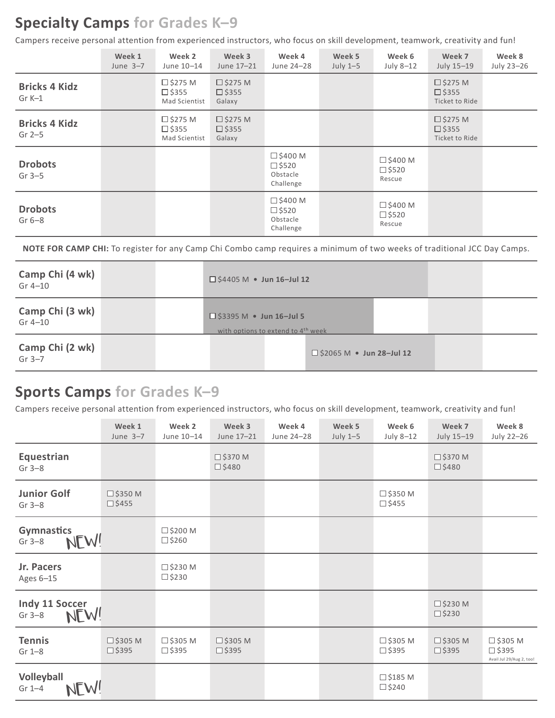# **Specialty Camps for Grades K–9**

Campers receive personal attention from experienced instructors, who focus on skill development, teamwork, creativity and fun!

|                                  | Week 1<br>June $3-7$ | Week 2<br>June 10-14                            | Week 3<br>June 17-21                        | Week 4<br>June 24-28                                          | Week 5<br>July $1-5$ | Week 6<br>July 8-12                            | Week 7<br>July 15-19                                | Week 8<br>July 23-26 |
|----------------------------------|----------------------|-------------------------------------------------|---------------------------------------------|---------------------------------------------------------------|----------------------|------------------------------------------------|-----------------------------------------------------|----------------------|
| <b>Bricks 4 Kidz</b><br>$Gr K-1$ |                      | $\Box$ \$275 M<br>$\Box$ \$355<br>Mad Scientist | $\square$ \$275 M<br>$\Box$ \$355<br>Galaxy |                                                               |                      |                                                | $\square$ \$275 M<br>$\Box$ \$355<br>Ticket to Ride |                      |
| <b>Bricks 4 Kidz</b><br>Gr $2-5$ |                      | $\Box$ \$275 M<br>$\Box$ \$355<br>Mad Scientist | $\square$ \$275 M<br>$\Box$ \$355<br>Galaxy |                                                               |                      |                                                | $\Box$ \$275 M<br>$\Box$ \$355<br>Ticket to Ride    |                      |
| <b>Drobots</b><br>$Gr 3-5$       |                      |                                                 |                                             | $\square$ \$400 M<br>$\Box$ \$520<br>Obstacle<br>Challenge    |                      | $\square$ \$400 M<br>$\square$ \$520<br>Rescue |                                                     |                      |
| <b>Drobots</b><br>$Gr 6-8$       |                      |                                                 |                                             | $\square$ \$400 M<br>$\square$ \$520<br>Obstacle<br>Challenge |                      | $\square$ \$400 M<br>$\square$ \$520<br>Rescue |                                                     |                      |

**NOTE FOR CAMP CHI:** To register for any Camp Chi Combo camp requires a minimum of two weeks of traditional JCC Day Camps.

| Camp Chi (4 wk)<br>Gr 4-10   |  | $\Box$ \$4405 M • Jun 16-Jul 12                                                  |                                 |  |  |
|------------------------------|--|----------------------------------------------------------------------------------|---------------------------------|--|--|
| Camp Chi (3 wk)<br>$Gr 4-10$ |  | $\Box$ \$3395 M • Jun 16-Jul 5<br>with options to extend to 4 <sup>th</sup> week |                                 |  |  |
| Camp Chi (2 wk)<br>Gr $3-7$  |  |                                                                                  | $\Box$ \$2065 M • Jun 28-Jul 12 |  |  |

# **Sports Camps for Grades K–9**

Campers receive personal attention from experienced instructors, who focus on skill development, teamwork, creativity and fun!

|                                       | Week 1<br>June $3-7$                 | Week 2<br>June 10-14                 | Week 3<br>June 17-21                 | Week 4<br>June 24-28 | Week 5<br>July $1-5$ | Week 6<br>July 8-12                  | Week 7<br>July 15-19                 | Week 8<br>July 22-26                                             |
|---------------------------------------|--------------------------------------|--------------------------------------|--------------------------------------|----------------------|----------------------|--------------------------------------|--------------------------------------|------------------------------------------------------------------|
| Equestrian<br>$Gr 3-8$                |                                      |                                      | $\square$ \$370 M<br>$\square$ \$480 |                      |                      |                                      | $\square$ \$370 M<br>$\square$ \$480 |                                                                  |
| <b>Junior Golf</b><br>$Gr 3-8$        | $\square$ \$350 M<br>$\square$ \$455 |                                      |                                      |                      |                      | $\square$ \$350 M<br>$\square$ \$455 |                                      |                                                                  |
| <b>Gymnastics</b><br>NEW!<br>$Gr 3-8$ |                                      | $\square$ \$200 M<br>$\square$ \$260 |                                      |                      |                      |                                      |                                      |                                                                  |
| Jr. Pacers<br>Ages 6-15               |                                      | $\square$ \$230 M<br>$\square$ \$230 |                                      |                      |                      |                                      |                                      |                                                                  |
| Indy 11 Soccer<br>NEW!<br>$Gr 3-8$    |                                      |                                      |                                      |                      |                      |                                      | $\square$ \$230 M<br>$\square$ \$230 |                                                                  |
| <b>Tennis</b><br>$Gr 1-8$             | $\square$ \$305 M<br>$\square$ \$395 | $\square$ \$305 M<br>$\square$ \$395 | $\square$ \$305 M<br>$\square$ \$395 |                      |                      | $\square$ \$305 M<br>$\square$ \$395 | $\square$ \$305 M<br>$\square$ \$395 | $\square$ \$305 M<br>$\square$ \$395<br>Avail Jul 29/Aug 2, too! |
| Volleyball<br>EW!<br>$Gr 1-4$         |                                      |                                      |                                      |                      |                      | $\square$ \$185 M<br>$\square$ \$240 |                                      |                                                                  |